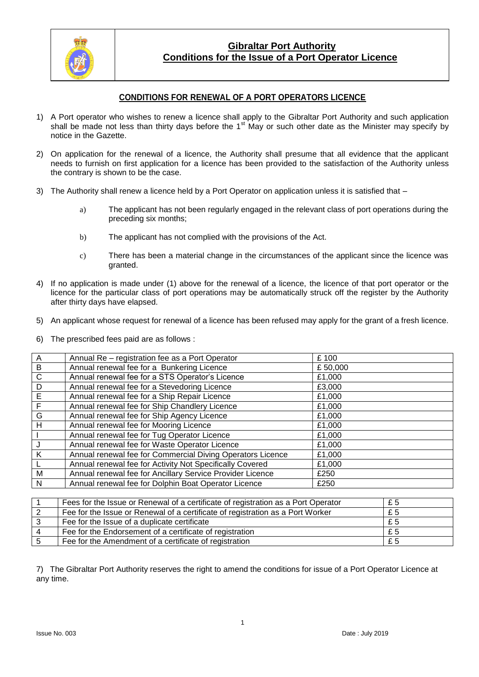

## **Gibraltar Port Authority Conditions for the Issue of a Port Operator Licence**

## **CONDITIONS FOR RENEWAL OF A PORT OPERATORS LICENCE**

- 1) A Port operator who wishes to renew a licence shall apply to the Gibraltar Port Authority and such application shall be made not less than thirty days before the 1<sup>st</sup> May or such other date as the Minister may specify by notice in the Gazette.
- 2) On application for the renewal of a licence, the Authority shall presume that all evidence that the applicant needs to furnish on first application for a licence has been provided to the satisfaction of the Authority unless the contrary is shown to be the case.
- 3) The Authority shall renew a licence held by a Port Operator on application unless it is satisfied that
	- a) The applicant has not been regularly engaged in the relevant class of port operations during the preceding six months;
	- b) The applicant has not complied with the provisions of the Act.
	- c) There has been a material change in the circumstances of the applicant since the licence was granted.
- 4) If no application is made under (1) above for the renewal of a licence, the licence of that port operator or the licence for the particular class of port operations may be automatically struck off the register by the Authority after thirty days have elapsed.
- 5) An applicant whose request for renewal of a licence has been refused may apply for the grant of a fresh licence.
- 6) The prescribed fees paid are as follows :

| $\overline{A}$ | Annual Re - registration fee as a Port Operator            | £100    |
|----------------|------------------------------------------------------------|---------|
| $\overline{B}$ | Annual renewal fee for a Bunkering Licence                 | £50,000 |
| $\mathsf{C}$   | Annual renewal fee for a STS Operator's Licence            | £1,000  |
| D              | Annual renewal fee for a Stevedoring Licence               | £3,000  |
| $\overline{E}$ | Annual renewal fee for a Ship Repair Licence               | £1,000  |
| $\mathsf F$    | Annual renewal fee for Ship Chandlery Licence              | £1,000  |
| G              | Annual renewal fee for Ship Agency Licence                 | £1,000  |
| H              | Annual renewal fee for Mooring Licence                     | £1,000  |
|                | Annual renewal fee for Tug Operator Licence                | £1,000  |
|                | Annual renewal fee for Waste Operator Licence              | £1,000  |
| K              | Annual renewal fee for Commercial Diving Operators Licence | £1,000  |
| $\mathbf{L}$   | Annual renewal fee for Activity Not Specifically Covered   | £1,000  |
| M              | Annual renewal fee for Ancillary Service Provider Licence  | £250    |
| N              | Annual renewal fee for Dolphin Boat Operator Licence       | £250    |

| Fees for the Issue or Renewal of a certificate of registration as a Port Operator | £5    |
|-----------------------------------------------------------------------------------|-------|
| Fee for the Issue or Renewal of a certificate of registration as a Port Worker    | £5    |
| Fee for the Issue of a duplicate certificate                                      | £5    |
| Fee for the Endorsement of a certificate of registration                          | £ $5$ |
| Fee for the Amendment of a certificate of registration                            | £5    |

7) The Gibraltar Port Authority reserves the right to amend the conditions for issue of a Port Operator Licence at any time.